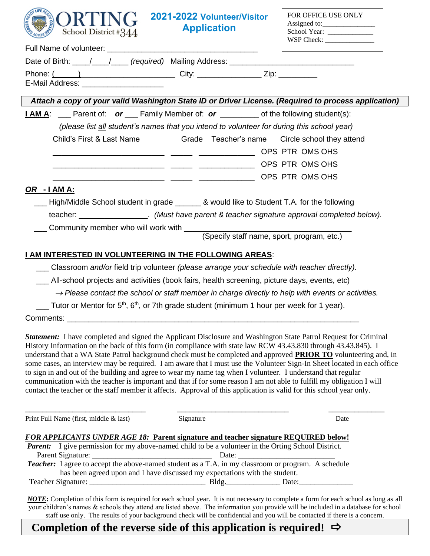

# **2021-2022 Volunteer/Visitor Application**

| FOR OFFICE USE ONLY |  |  |  |
|---------------------|--|--|--|
| Assigned to:        |  |  |  |
| School Year:        |  |  |  |
| WSP Check:          |  |  |  |

Full Name of volunteer:

| Date of Birth: | <i>(required)</i> Mailing Address: |  |
|----------------|------------------------------------|--|
| Phone:         | Cit∨∵                              |  |

E-Mail Address:

#### *Attach a copy of your valid Washington State ID or Driver License. (Required to process application)*

| I AM A:      |                                                                                            |  |       |                | $\Box$ Parent of: $or \Box$ Family Member of: $or \Box$ of the following student(s): |  |  |
|--------------|--------------------------------------------------------------------------------------------|--|-------|----------------|--------------------------------------------------------------------------------------|--|--|
|              | (please list all student's names that you intend to volunteer for during this school year) |  |       |                |                                                                                      |  |  |
|              | Child's First & Last Name                                                                  |  | Grade | Teacher's name | Circle school they attend                                                            |  |  |
|              |                                                                                            |  |       |                | OPS PTR OMS OHS                                                                      |  |  |
|              |                                                                                            |  |       |                | OPS PTR OMS OHS                                                                      |  |  |
|              |                                                                                            |  |       |                | OPS PTR OMS OHS                                                                      |  |  |
| $\mathbf{A}$ | .                                                                                          |  |       |                |                                                                                      |  |  |

### *OR* **- I AM A:**

\_\_\_ High/Middle School student in grade \_\_\_\_\_\_ & would like to Student T.A. for the following

teacher: \_\_\_\_\_\_\_\_\_\_\_\_\_\_\_\_. *(Must have parent & teacher signature approval completed below).*

Community member who will work with

(Specify staff name, sport, program, etc.)

## **I AM INTERESTED IN VOLUNTEERING IN THE FOLLOWING AREAS**:

\_\_\_ Classroom *and/or* field trip volunteer *(please arrange your schedule with teacher directly).*

\_\_\_ All-school projects and activities (book fairs, health screening, picture days, events, etc)

<sup>→</sup> *Please contact the school or staff member in charge directly to help with events or activities.*

Tutor or Mentor for  $5<sup>th</sup>$ , 6<sup>th</sup>, or 7th grade student (minimum 1 hour per week for 1 year).

Comments:

*Statement:* I have completed and signed the Applicant Disclosure and Washington State Patrol Request for Criminal History Information on the back of this form (in compliance with state law RCW 43.43.830 through 43.43.845). I understand that a WA State Patrol background check must be completed and approved **PRIOR TO** volunteering and, in some cases, an interview may be required. I am aware that I must use the Volunteer Sign-In Sheet located in each office to sign in and out of the building and agree to wear my name tag when I volunteer. I understand that regular communication with the teacher is important and that if for some reason I am not able to fulfill my obligation I will contact the teacher or the staff member it affects. Approval of this application is valid for this school year only.

| Print Full Name (first, middle & last)                                                                     | Signature | Date                                                     |  |  |  |  |  |
|------------------------------------------------------------------------------------------------------------|-----------|----------------------------------------------------------|--|--|--|--|--|
| <b>FOR APPLICANTS UNDER AGE 18: Parent signature and teacher signature REQUIRED below!</b>                 |           |                                                          |  |  |  |  |  |
| <b>Parent:</b> I give permission for my above-named child to be a volunteer in the Orting School District. |           |                                                          |  |  |  |  |  |
|                                                                                                            |           | Date: $\frac{1}{\sqrt{1-\frac{1}{2}} \cdot \frac{1}{2}}$ |  |  |  |  |  |
| <b>Teacher:</b> I agree to accept the above-named student as a T.A. in my classroom or program. A schedule |           |                                                          |  |  |  |  |  |
| has been agreed upon and I have discussed my expectations with the student.                                |           |                                                          |  |  |  |  |  |
|                                                                                                            |           | $Bldg$ . Date: Date:                                     |  |  |  |  |  |

\_\_\_\_\_\_\_\_\_\_\_\_\_\_\_\_\_\_\_\_\_\_\_\_\_\_\_\_ \_\_\_\_\_\_\_\_\_\_\_\_\_\_\_\_\_\_\_\_\_\_\_\_\_\_ \_\_\_\_\_\_\_\_\_\_\_\_\_

*NOTE***:** Completion of this form is required for each school year. It is not necessary to complete a form for each school as long as all your children's names & schools they attend are listed above. The information you provide will be included in a database for school staff use only. The results of your background check will be confidential and you will be contacted if there is a concern.

# **Completion of the reverse side of this application is required!**  $\Rightarrow$